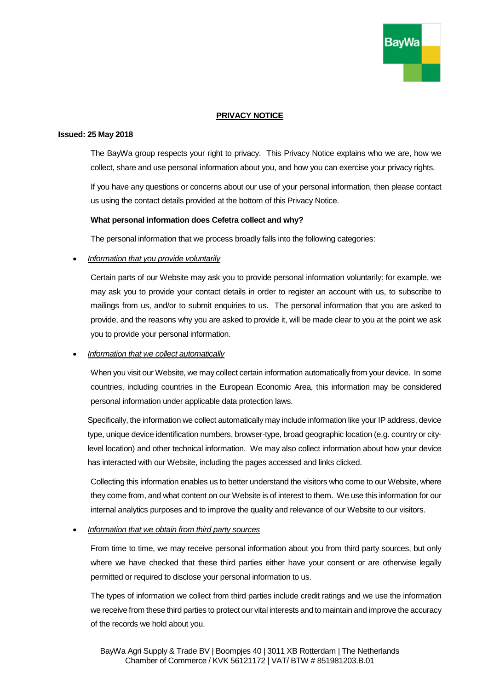

# **PRIVACY NOTICE**

#### **Issued: 25 May 2018**

The BayWa group respects your right to privacy. This Privacy Notice explains who we are, how we collect, share and use personal information about you, and how you can exercise your privacy rights.

If you have any questions or concerns about our use of your personal information, then please contact us using the contact details provided at the bottom of this Privacy Notice.

#### **What personal information does Cefetra collect and why?**

The personal information that we process broadly falls into the following categories:

#### • *Information that you provide voluntarily*

Certain parts of our Website may ask you to provide personal information voluntarily: for example, we may ask you to provide your contact details in order to register an account with us, to subscribe to mailings from us, and/or to submit enquiries to us. The personal information that you are asked to provide, and the reasons why you are asked to provide it, will be made clear to you at the point we ask you to provide your personal information.

### • *Information that we collect automatically*

When you visit our Website, we may collect certain information automatically from your device. In some countries, including countries in the European Economic Area, this information may be considered personal information under applicable data protection laws.

Specifically, the information we collect automatically may include information like your IP address, device type, unique device identification numbers, browser-type, broad geographic location (e.g. country or citylevel location) and other technical information. We may also collect information about how your device has interacted with our Website, including the pages accessed and links clicked.

Collecting this information enables us to better understand the visitors who come to our Website, where they come from, and what content on our Website is of interest to them. We use this information for our internal analytics purposes and to improve the quality and relevance of our Website to our visitors.

### • *Information that we obtain from third party sources*

From time to time, we may receive personal information about you from third party sources, but only where we have checked that these third parties either have your consent or are otherwise legally permitted or required to disclose your personal information to us.

The types of information we collect from third parties include credit ratings and we use the information we receive from these third parties to protect our vital interests and to maintain and improve the accuracy of the records we hold about you.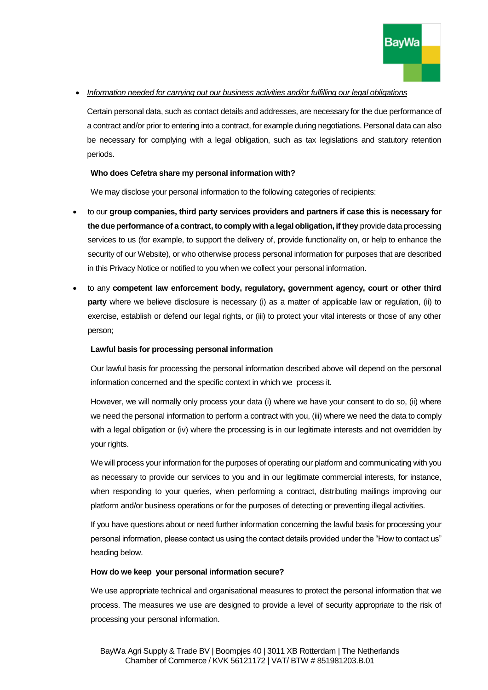

## • *Information needed for carrying out our business activities and/or fulfilling our legal obligations*

Certain personal data, such as contact details and addresses, are necessary for the due performance of a contract and/or prior to entering into a contract, for example during negotiations. Personal data can also be necessary for complying with a legal obligation, such as tax legislations and statutory retention periods.

# **Who does Cefetra share my personal information with?**

We may disclose your personal information to the following categories of recipients:

- to our **group companies, third party services providers and partners if case this is necessary for the due performance of a contract, to comply with a legal obligation, if they** provide data processing services to us (for example, to support the delivery of, provide functionality on, or help to enhance the security of our Website), or who otherwise process personal information for purposes that are described in this Privacy Notice or notified to you when we collect your personal information.
- to any **competent law enforcement body, regulatory, government agency, court or other third party** where we believe disclosure is necessary (i) as a matter of applicable law or regulation, (ii) to exercise, establish or defend our legal rights, or (iii) to protect your vital interests or those of any other person;

# **Lawful basis for processing personal information**

Our lawful basis for processing the personal information described above will depend on the personal information concerned and the specific context in which we process it.

However, we will normally only process your data (i) where we have your consent to do so, (ii) where we need the personal information to perform a contract with you, (iii) where we need the data to comply with a legal obligation or (iv) where the processing is in our legitimate interests and not overridden by your rights.

We will process your information for the purposes of operating our platform and communicating with you as necessary to provide our services to you and in our legitimate commercial interests, for instance, when responding to your queries, when performing a contract, distributing mailings improving our platform and/or business operations or for the purposes of detecting or preventing illegal activities.

If you have questions about or need further information concerning the lawful basis for processing your personal information, please contact us using the contact details provided under the "How to contact us" heading below.

### **How do we keep your personal information secure?**

We use appropriate technical and organisational measures to protect the personal information that we process. The measures we use are designed to provide a level of security appropriate to the risk of processing your personal information.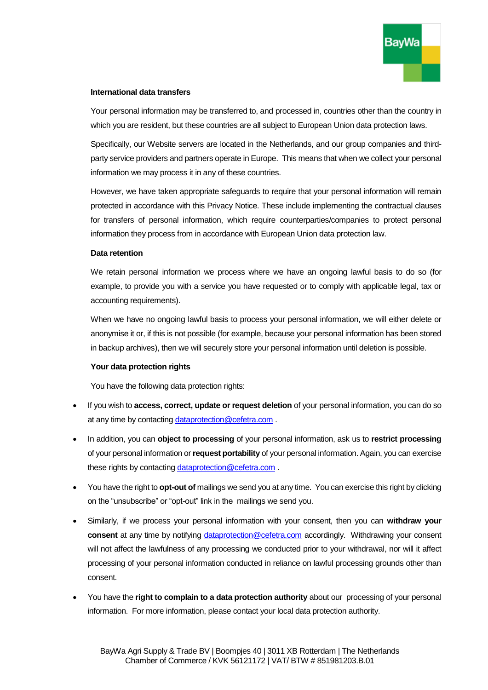

### **International data transfers**

Your personal information may be transferred to, and processed in, countries other than the country in which you are resident, but these countries are all subject to European Union data protection laws.

Specifically, our Website servers are located in the Netherlands, and our group companies and thirdparty service providers and partners operate in Europe. This means that when we collect your personal information we may process it in any of these countries.

However, we have taken appropriate safeguards to require that your personal information will remain protected in accordance with this Privacy Notice. These include implementing the contractual clauses for transfers of personal information, which require counterparties/companies to protect personal information they process from in accordance with European Union data protection law.

## **Data retention**

We retain personal information we process where we have an ongoing lawful basis to do so (for example, to provide you with a service you have requested or to comply with applicable legal, tax or accounting requirements).

When we have no ongoing lawful basis to process your personal information, we will either delete or anonymise it or, if this is not possible (for example, because your personal information has been stored in backup archives), then we will securely store your personal information until deletion is possible.

# **Your data protection rights**

You have the following data protection rights:

- If you wish to **access, correct, update or request deletion** of your personal information, you can do so at any time by contacting [dataprotection@cefetra.com](mailto:dataprotection@cefetra.com).
- In addition, you can **object to processing** of your personal information, ask us to **restrict processing** of your personal information or **request portability** of your personal information. Again, you can exercise these rights by contacting [dataprotection@cefetra.com](mailto:dataprotection@cefetra.com) .
- You have the right to **opt-out of** mailings we send you at any time. You can exercise this right by clicking on the "unsubscribe" or "opt-out" link in the mailings we send you.
- Similarly, if we process your personal information with your consent, then you can **withdraw your consent** at any time by notifying [dataprotection@cefetra.com](mailto:dataprotection@cefetra.com) accordingly. Withdrawing your consent will not affect the lawfulness of any processing we conducted prior to your withdrawal, nor will it affect processing of your personal information conducted in reliance on lawful processing grounds other than consent.
- You have the **right to complain to a data protection authority** about our processing of your personal information. For more information, please contact your local data protection authority.